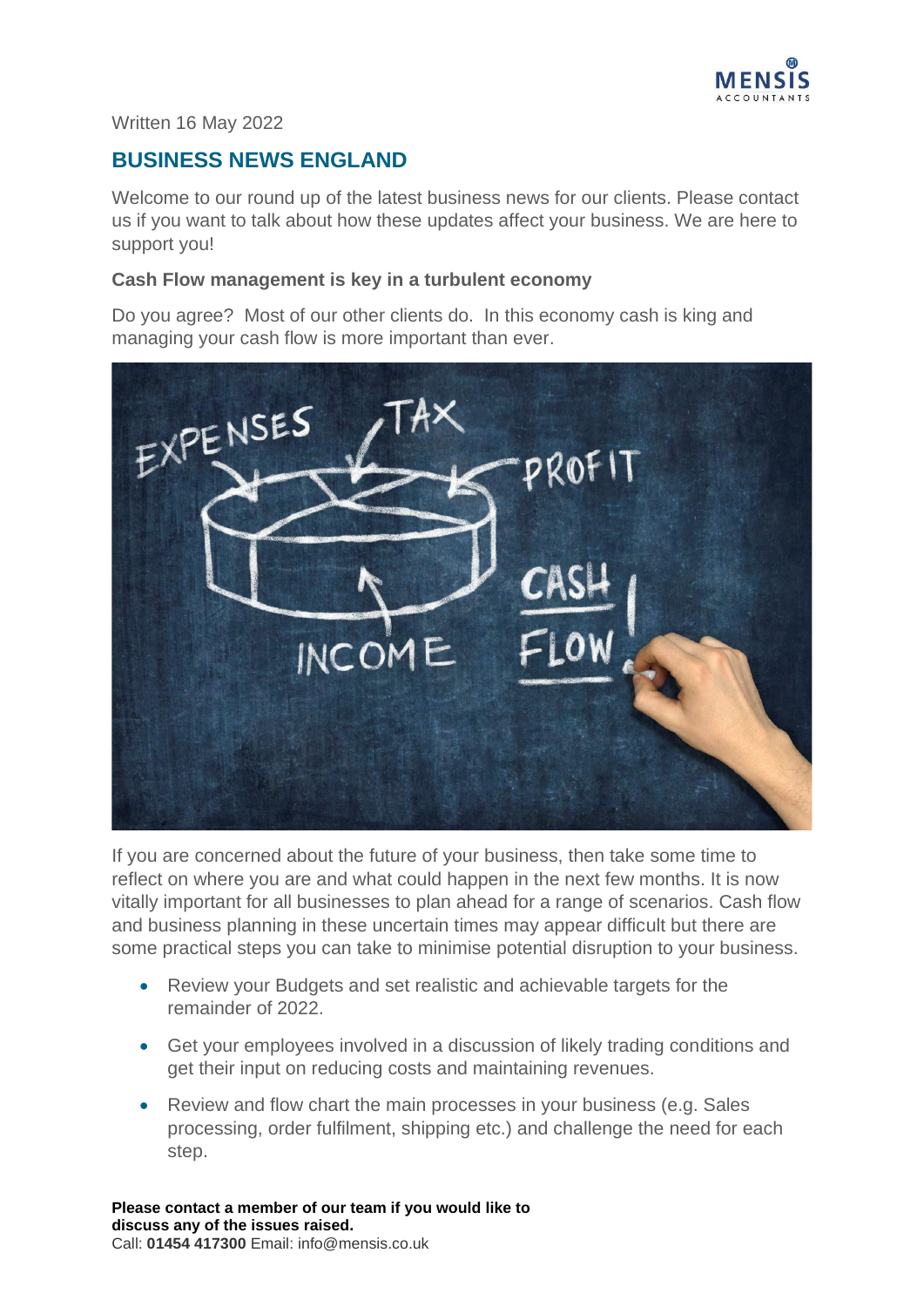

Written 16 May 2022

# **BUSINESS NEWS ENGLAND**

Welcome to our round up of the latest business news for our clients. Please contact us if you want to talk about how these updates affect your business. We are here to support you!

#### **Cash Flow management is key in a turbulent economy**

Do you agree? Most of our other clients do. In this economy cash is king and managing your cash flow is more important than ever.



If you are concerned about the future of your business, then take some time to reflect on where you are and what could happen in the next few months. It is now vitally important for all businesses to plan ahead for a range of scenarios. Cash flow and business planning in these uncertain times may appear difficult but there are some practical steps you can take to minimise potential disruption to your business.

- Review your Budgets and set realistic and achievable targets for the remainder of 2022.
- Get your employees involved in a discussion of likely trading conditions and get their input on reducing costs and maintaining revenues.
- Review and flow chart the main processes in your business (e.g. Sales processing, order fulfilment, shipping etc.) and challenge the need for each step.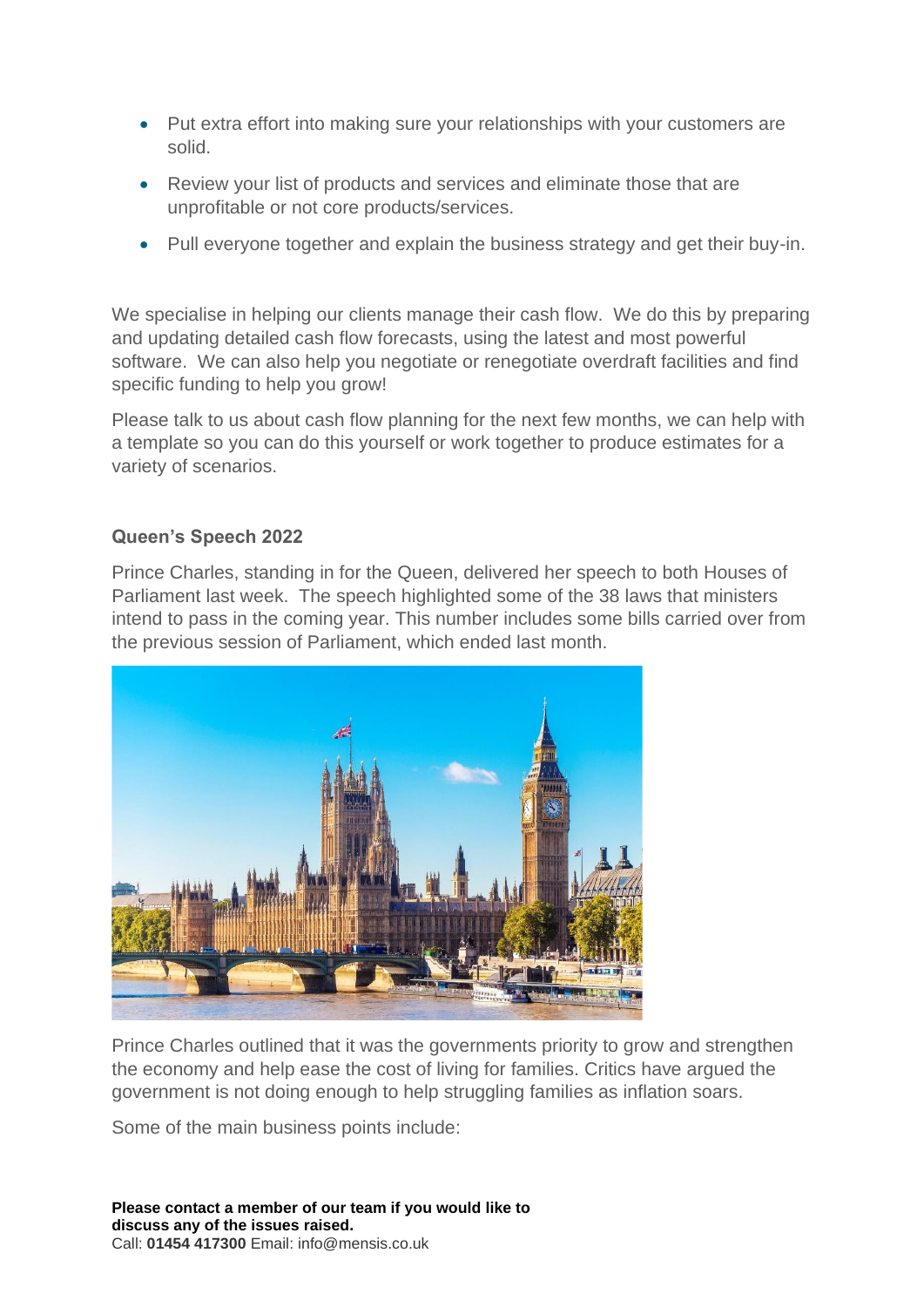- Put extra effort into making sure your relationships with your customers are solid.
- Review your list of products and services and eliminate those that are unprofitable or not core products/services.
- Pull everyone together and explain the business strategy and get their buy-in.

We specialise in helping our clients manage their cash flow. We do this by preparing and updating detailed cash flow forecasts, using the latest and most powerful software. We can also help you negotiate or renegotiate overdraft facilities and find specific funding to help you grow!

Please talk to us about cash flow planning for the next few months, we can help with a template so you can do this yourself or work together to produce estimates for a variety of scenarios.

### **Queen's Speech 2022**

Prince Charles, standing in for the Queen, delivered her speech to both Houses of Parliament last week. The speech highlighted some of the 38 laws that ministers intend to pass in the coming year. This number includes some bills carried over from the previous session of Parliament, which ended last month.



Prince Charles outlined that it was the governments priority to grow and strengthen the economy and help ease the cost of living for families. Critics have argued the government is not doing enough to help struggling families as inflation soars.

Some of the main business points include: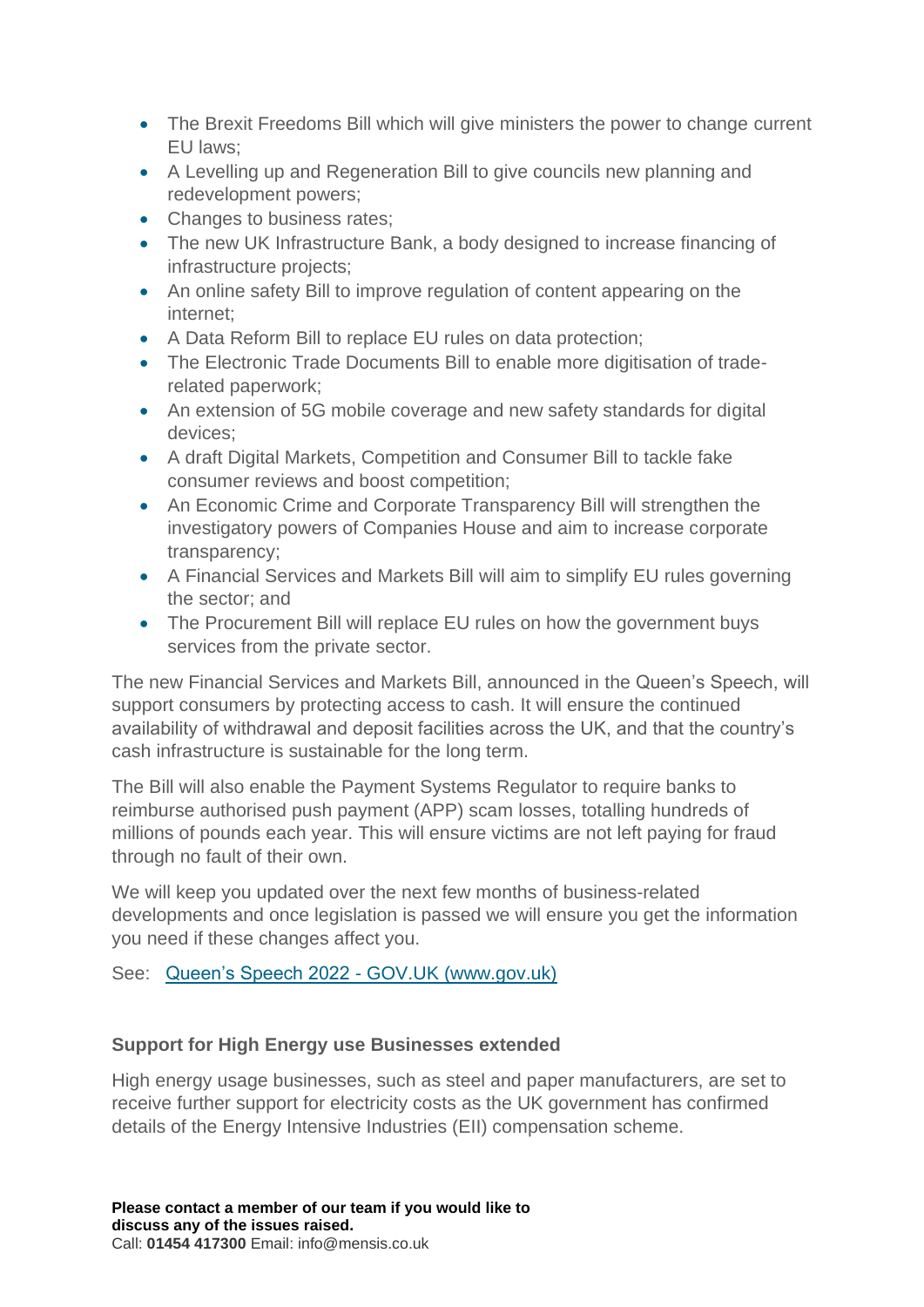- The Brexit Freedoms Bill which will give ministers the power to change current EU laws;
- A Levelling up and Regeneration Bill to give councils new planning and redevelopment powers;
- Changes to business rates;
- The new UK Infrastructure Bank, a body designed to increase financing of infrastructure projects;
- An online safety Bill to improve regulation of content appearing on the internet;
- A Data Reform Bill to replace EU rules on data protection;
- The Electronic Trade Documents Bill to enable more digitisation of traderelated paperwork;
- An extension of 5G mobile coverage and new safety standards for digital devices;
- A draft Digital Markets, Competition and Consumer Bill to tackle fake consumer reviews and boost competition;
- An Economic Crime and Corporate Transparency Bill will strengthen the investigatory powers of Companies House and aim to increase corporate transparency;
- A Financial Services and Markets Bill will aim to simplify EU rules governing the sector; and
- The Procurement Bill will replace EU rules on how the government buys services from the private sector.

The new Financial Services and Markets Bill, announced in the Queen's Speech, will support consumers by protecting access to cash. It will ensure the continued availability of withdrawal and deposit facilities across the UK, and that the country's cash infrastructure is sustainable for the long term.

The Bill will also enable the Payment Systems Regulator to require banks to reimburse authorised push payment (APP) scam losses, totalling hundreds of millions of pounds each year. This will ensure victims are not left paying for fraud through no fault of their own.

We will keep you updated over the next few months of business-related developments and once legislation is passed we will ensure you get the information you need if these changes affect you.

See: [Queen's Speech 2022 -](https://www.gov.uk/government/speeches/queens-speech-2022) GOV.UK (www.gov.uk)

# **Support for High Energy use Businesses extended**

High energy usage businesses, such as steel and paper manufacturers, are set to receive further support for electricity costs as the UK government has confirmed details of the Energy Intensive Industries (EII) compensation scheme.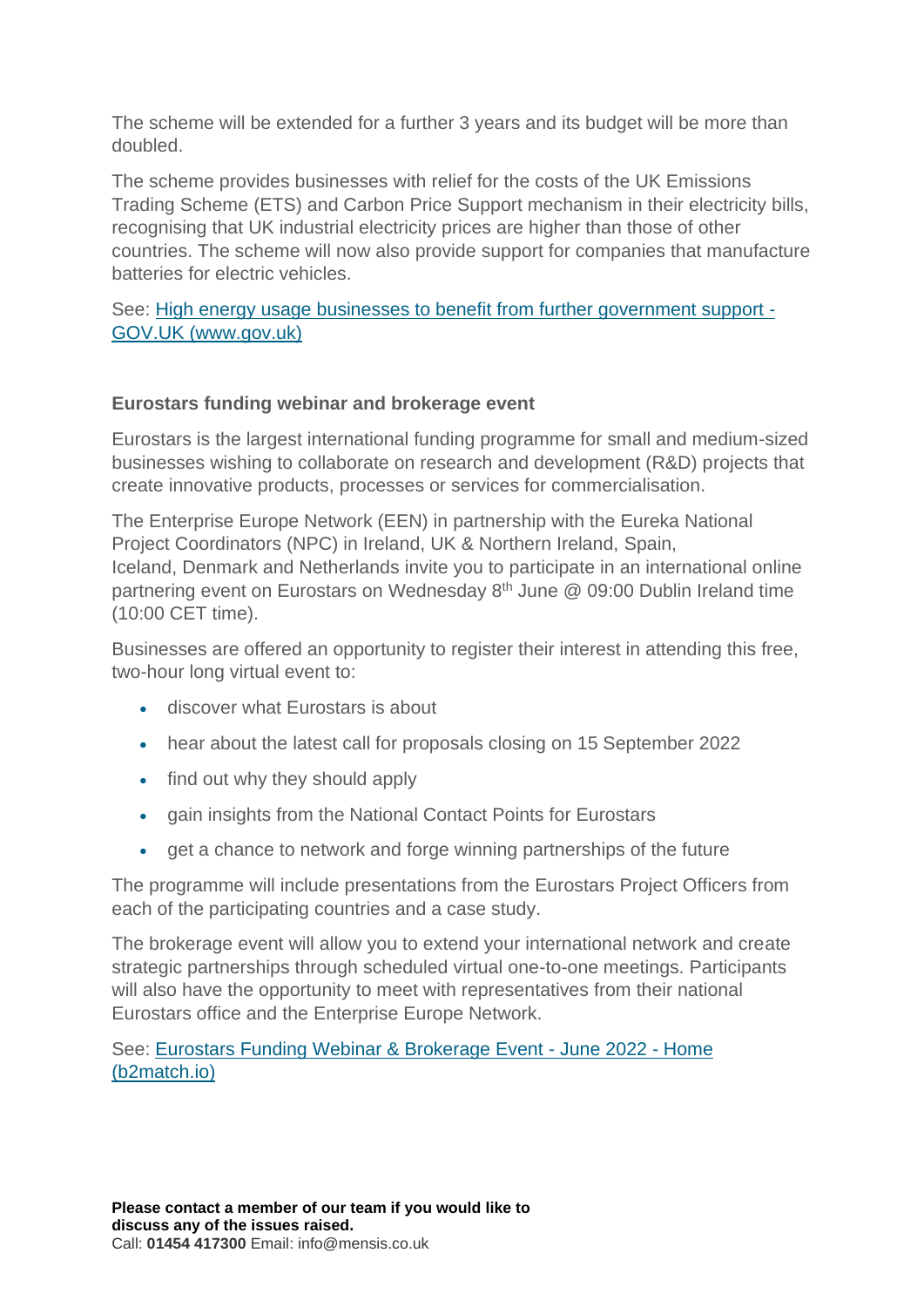The scheme will be extended for a further 3 years and its budget will be more than doubled.

The scheme provides businesses with relief for the costs of the UK Emissions Trading Scheme (ETS) and Carbon Price Support mechanism in their electricity bills, recognising that UK industrial electricity prices are higher than those of other countries. The scheme will now also provide support for companies that manufacture batteries for electric vehicles.

See: [High energy usage businesses to benefit from further government support -](https://www.gov.uk/government/news/high-energy-usage-businesses-to-benefit-from-further-government-support) [GOV.UK \(www.gov.uk\)](https://www.gov.uk/government/news/high-energy-usage-businesses-to-benefit-from-further-government-support)

## **Eurostars funding webinar and brokerage event**

Eurostars is the largest international funding programme for small and medium-sized businesses wishing to collaborate on research and development (R&D) projects that create innovative products, processes or services for commercialisation.

The Enterprise Europe Network (EEN) in partnership with the Eureka National Project Coordinators (NPC) in Ireland, UK & Northern Ireland, Spain, Iceland, Denmark and Netherlands invite you to participate in an international online partnering event on Eurostars on Wednesday  $8<sup>th</sup>$  June @ 09:00 Dublin Ireland time (10:00 CET time).

Businesses are offered an opportunity to register their interest in attending this free, two-hour long virtual event to:

- discover what Eurostars is about
- hear about the latest call for proposals closing on 15 September 2022
- find out why they should apply
- gain insights from the National Contact Points for Eurostars
- get a chance to network and forge winning partnerships of the future

The programme will include presentations from the Eurostars Project Officers from each of the participating countries and a case study.

The brokerage event will allow you to extend your international network and create strategic partnerships through scheduled virtual one-to-one meetings. Participants will also have the opportunity to meet with representatives from their national Eurostars office and the Enterprise Europe Network.

See: [Eurostars Funding Webinar & Brokerage Event -](https://eurostars-webinar-brokerage-event.b2match.io/home) June 2022 - Home [\(b2match.io\)](https://eurostars-webinar-brokerage-event.b2match.io/home)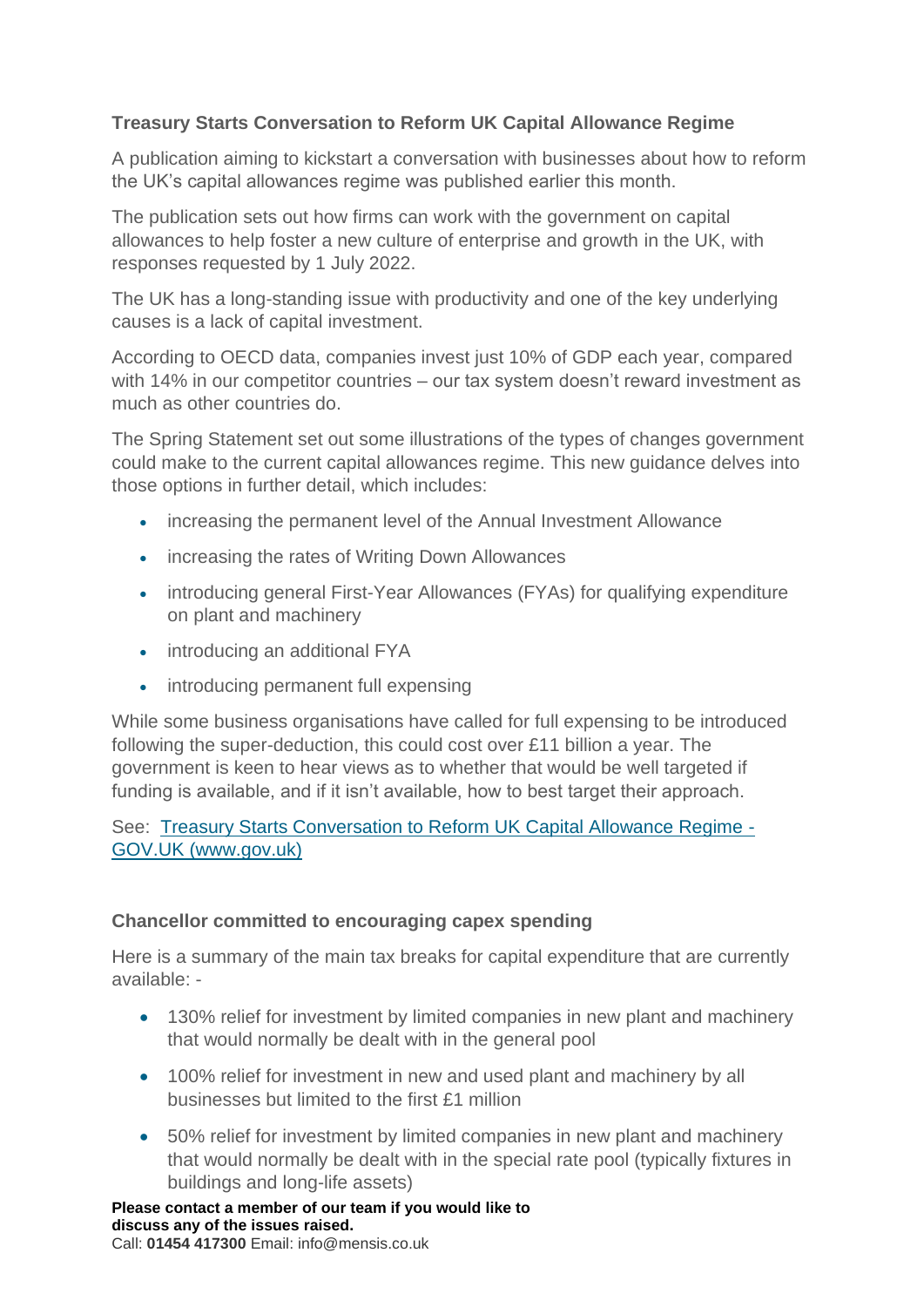## **Treasury Starts Conversation to Reform UK Capital Allowance Regime**

A publication aiming to kickstart a conversation with businesses about how to reform the UK's capital allowances regime was published earlier this month.

The publication sets out how firms can work with the government on capital allowances to help foster a new culture of enterprise and growth in the UK, with responses requested by 1 July 2022.

The UK has a long-standing issue with productivity and one of the key underlying causes is a lack of capital investment.

According to OECD data, companies invest just 10% of GDP each year, compared with 14% in our competitor countries – our tax system doesn't reward investment as much as other countries do.

The Spring Statement set out some illustrations of the types of changes government could make to the current capital allowances regime. This new guidance delves into those options in further detail, which includes:

- increasing the permanent level of the Annual Investment Allowance
- increasing the rates of Writing Down Allowances
- introducing general First-Year Allowances (FYAs) for qualifying expenditure on plant and machinery
- introducing an additional FYA
- introducing permanent full expensing

While some business organisations have called for full expensing to be introduced following the super-deduction, this could cost over £11 billion a year. The government is keen to hear views as to whether that would be well targeted if funding is available, and if it isn't available, how to best target their approach.

See: [Treasury Starts Conversation to Reform UK Capital Allowance Regime -](https://www.gov.uk/government/news/treasury-starts-conversation-to-reform-uk-capital-allowance-regime) [GOV.UK \(www.gov.uk\)](https://www.gov.uk/government/news/treasury-starts-conversation-to-reform-uk-capital-allowance-regime)

### **Chancellor committed to encouraging capex spending**

Here is a summary of the main tax breaks for capital expenditure that are currently available: -

- 130% relief for investment by limited companies in new plant and machinery that would normally be dealt with in the general pool
- 100% relief for investment in new and used plant and machinery by all businesses but limited to the first £1 million
- 50% relief for investment by limited companies in new plant and machinery that would normally be dealt with in the special rate pool (typically fixtures in buildings and long-life assets)

**Please contact a member of our team if you would like to discuss any of the issues raised.**  Call: **01454 417300** Email: info@mensis.co.uk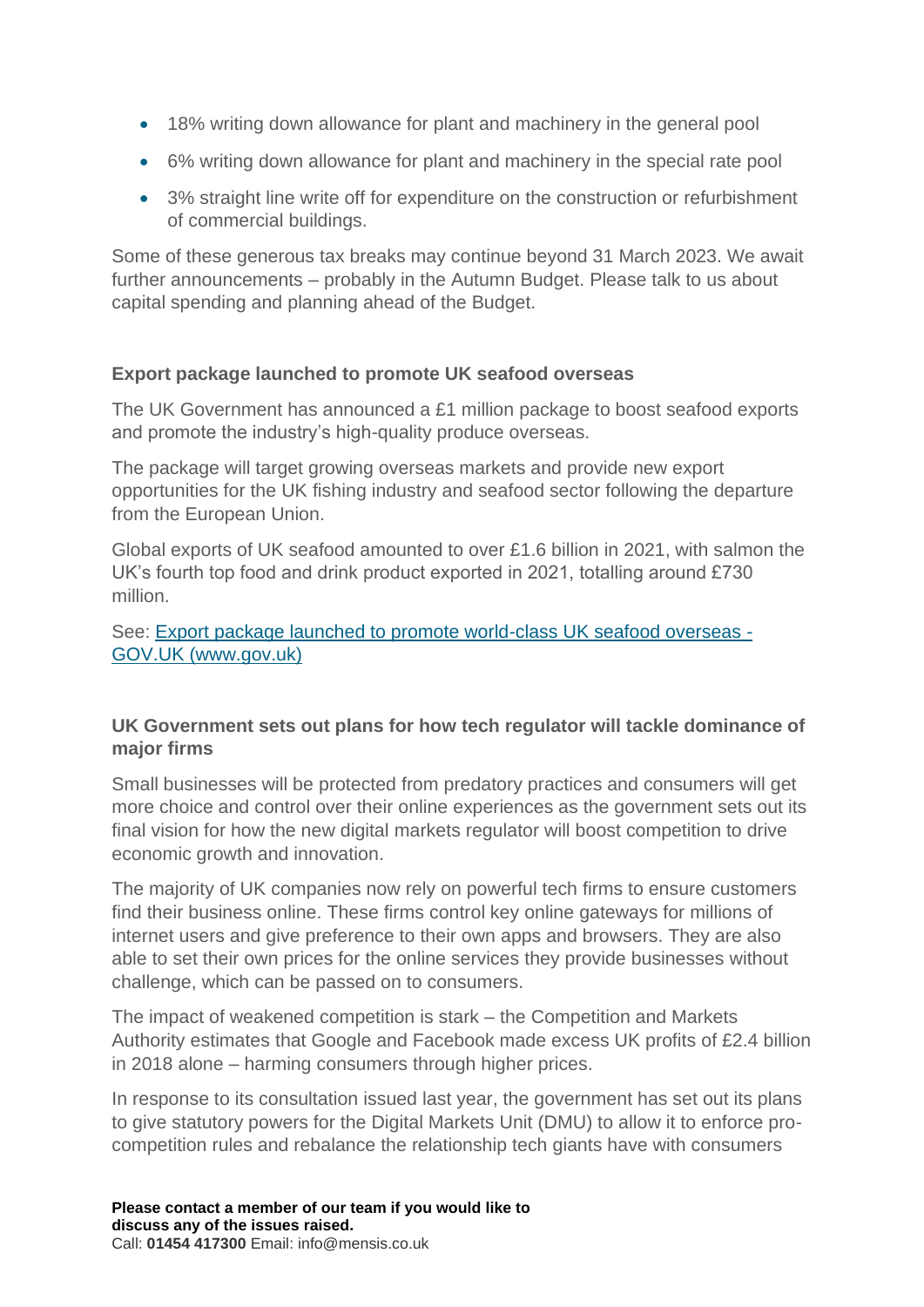- 18% writing down allowance for plant and machinery in the general pool
- 6% writing down allowance for plant and machinery in the special rate pool
- 3% straight line write off for expenditure on the construction or refurbishment of commercial buildings.

Some of these generous tax breaks may continue beyond 31 March 2023. We await further announcements – probably in the Autumn Budget. Please talk to us about capital spending and planning ahead of the Budget.

## **Export package launched to promote UK seafood overseas**

The UK Government has announced a £1 million package to boost seafood exports and promote the industry's high-quality produce overseas.

The package will target growing overseas markets and provide new export opportunities for the UK fishing industry and seafood sector following the departure from the European Union.

Global exports of UK seafood amounted to over £1.6 billion in 2021, with salmon the UK's fourth top food and drink product exported in 2021, totalling around £730 million.

See: [Export package launched to promote world-class UK seafood overseas -](https://www.gov.uk/government/news/export-package-launched-to-promote-world-class-uk-seafood-overseas) [GOV.UK \(www.gov.uk\)](https://www.gov.uk/government/news/export-package-launched-to-promote-world-class-uk-seafood-overseas)

## **UK Government sets out plans for how tech regulator will tackle dominance of major firms**

Small businesses will be protected from predatory practices and consumers will get more choice and control over their online experiences as the government sets out its final vision for how the new digital markets regulator will boost competition to drive economic growth and innovation.

The majority of UK companies now rely on powerful tech firms to ensure customers find their business online. These firms control key online gateways for millions of internet users and give preference to their own apps and browsers. They are also able to set their own prices for the online services they provide businesses without challenge, which can be passed on to consumers.

The impact of weakened competition is stark – the Competition and Markets Authority estimates that Google and Facebook made excess UK profits of £2.4 billion in 2018 alone – harming consumers through higher prices.

In response to its consultation issued last year, the government has set out its plans to give statutory powers for the Digital Markets Unit (DMU) to allow it to enforce procompetition rules and rebalance the relationship tech giants have with consumers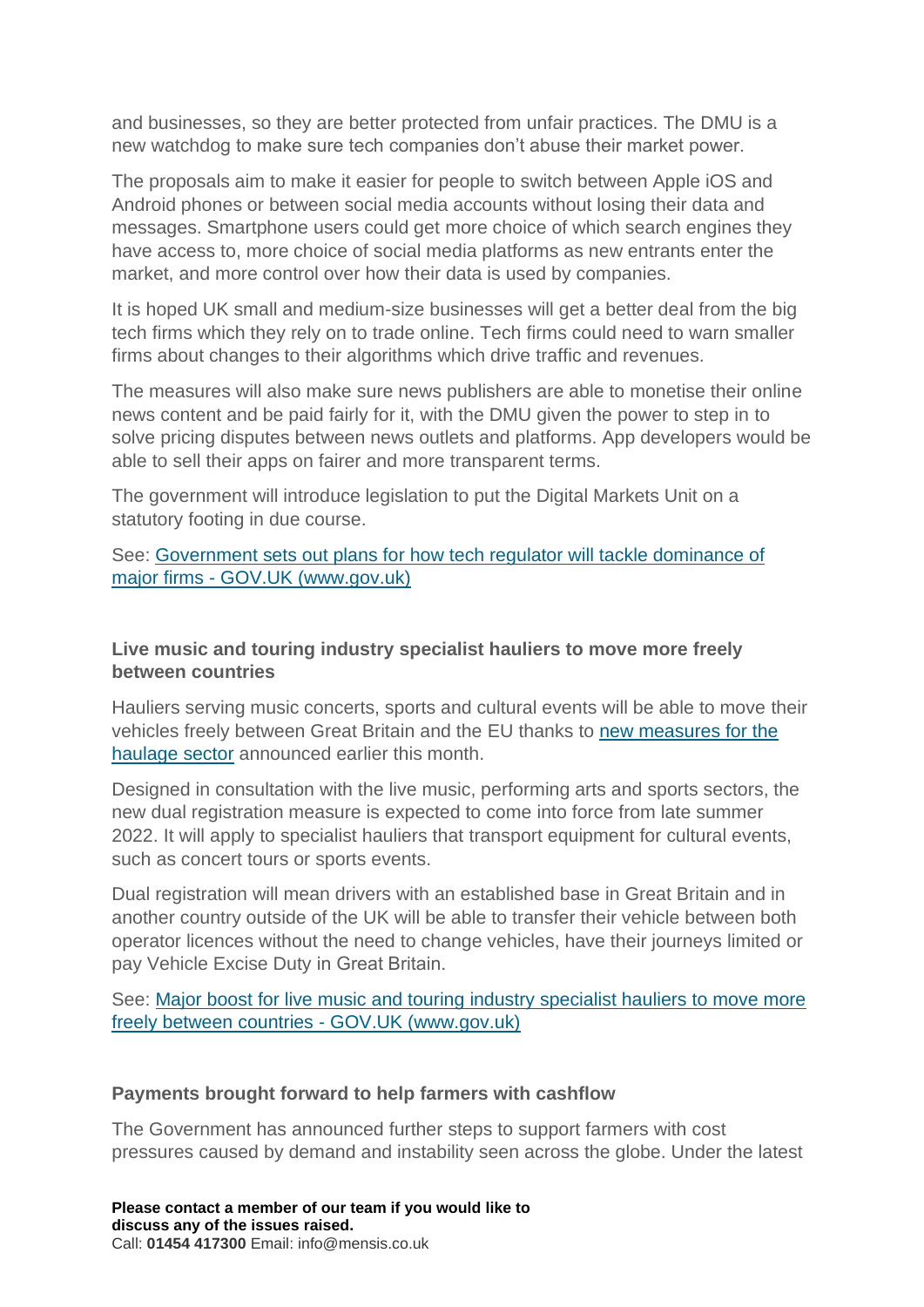and businesses, so they are better protected from unfair practices. The DMU is a new watchdog to make sure tech companies don't abuse their market power.

The proposals aim to make it easier for people to switch between Apple iOS and Android phones or between social media accounts without losing their data and messages. Smartphone users could get more choice of which search engines they have access to, more choice of social media platforms as new entrants enter the market, and more control over how their data is used by companies.

It is hoped UK small and medium-size businesses will get a better deal from the big tech firms which they rely on to trade online. Tech firms could need to warn smaller firms about changes to their algorithms which drive traffic and revenues.

The measures will also make sure news publishers are able to monetise their online news content and be paid fairly for it, with the DMU given the power to step in to solve pricing disputes between news outlets and platforms. App developers would be able to sell their apps on fairer and more transparent terms.

The government will introduce legislation to put the Digital Markets Unit on a statutory footing in due course.

### See: [Government sets out plans for how tech regulator will tackle dominance of](https://www.gov.uk/government/news/government-sets-out-plans-for-how-tech-regulator-will-tackle-dominance-of-major-firms)  major firms - [GOV.UK \(www.gov.uk\)](https://www.gov.uk/government/news/government-sets-out-plans-for-how-tech-regulator-will-tackle-dominance-of-major-firms)

### **Live music and touring industry specialist hauliers to move more freely between countries**

Hauliers serving music concerts, sports and cultural events will be able to move their vehicles freely between Great Britain and the EU thanks to [new measures for the](https://www.gov.uk/government/consultations/cultural-events-road-haulage-temporary-transfer-of-vehicles-between-operator-licences-for-cross-border-tours)  [haulage sector](https://www.gov.uk/government/consultations/cultural-events-road-haulage-temporary-transfer-of-vehicles-between-operator-licences-for-cross-border-tours) announced earlier this month.

Designed in consultation with the live music, performing arts and sports sectors, the new dual registration measure is expected to come into force from late summer 2022. It will apply to specialist hauliers that transport equipment for cultural events, such as concert tours or sports events.

Dual registration will mean drivers with an established base in Great Britain and in another country outside of the UK will be able to transfer their vehicle between both operator licences without the need to change vehicles, have their journeys limited or pay Vehicle Excise Duty in Great Britain. 

See: [Major boost for live music and touring industry specialist hauliers to move more](https://www.gov.uk/government/news/major-boost-for-live-music-and-touring-industry-specialist-hauliers-to-move-more-freely-between-countries)  [freely between countries -](https://www.gov.uk/government/news/major-boost-for-live-music-and-touring-industry-specialist-hauliers-to-move-more-freely-between-countries) GOV.UK (www.gov.uk)

#### **Payments brought forward to help farmers with cashflow**

The Government has announced further steps to support farmers with cost pressures caused by demand and instability seen across the globe. Under the latest